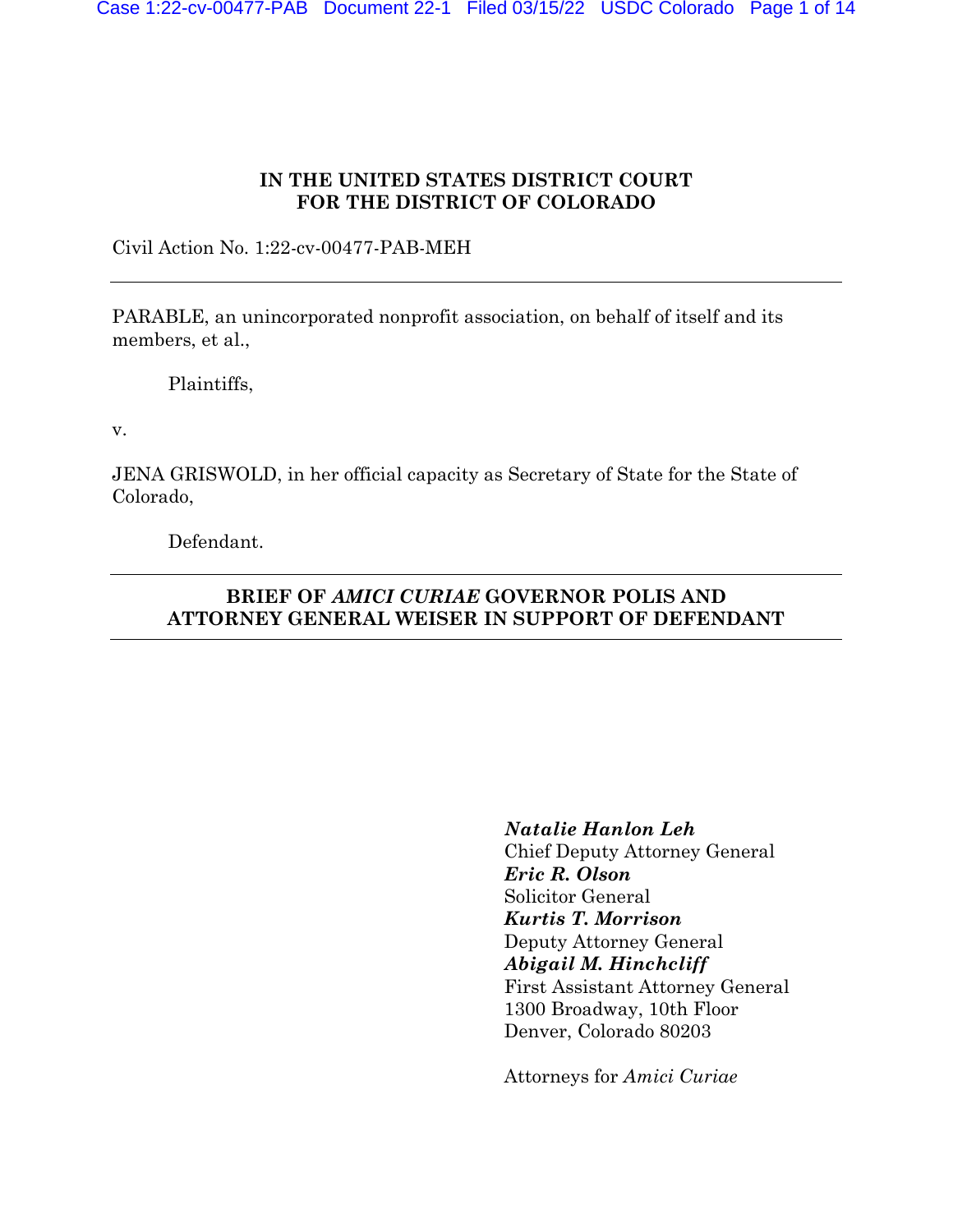## **IN THE UNITED STATES DISTRICT COURT FOR THE DISTRICT OF COLORADO**

Civil Action No. 1:22-cv-00477-PAB-MEH

PARABLE, an unincorporated nonprofit association, on behalf of itself and its members, et al.,

Plaintiffs,

v.

JENA GRISWOLD, in her official capacity as Secretary of State for the State of Colorado,

Defendant.

# **BRIEF OF** *AMICI CURIAE* **GOVERNOR POLIS AND ATTORNEY GENERAL WEISER IN SUPPORT OF DEFENDANT**

*Natalie Hanlon Leh* Chief Deputy Attorney General *Eric R. Olson* Solicitor General *Kurtis T. Morrison* Deputy Attorney General *Abigail M. Hinchcliff* First Assistant Attorney General 1300 Broadway, 10th Floor Denver, Colorado 80203

Attorneys for *Amici Curiae*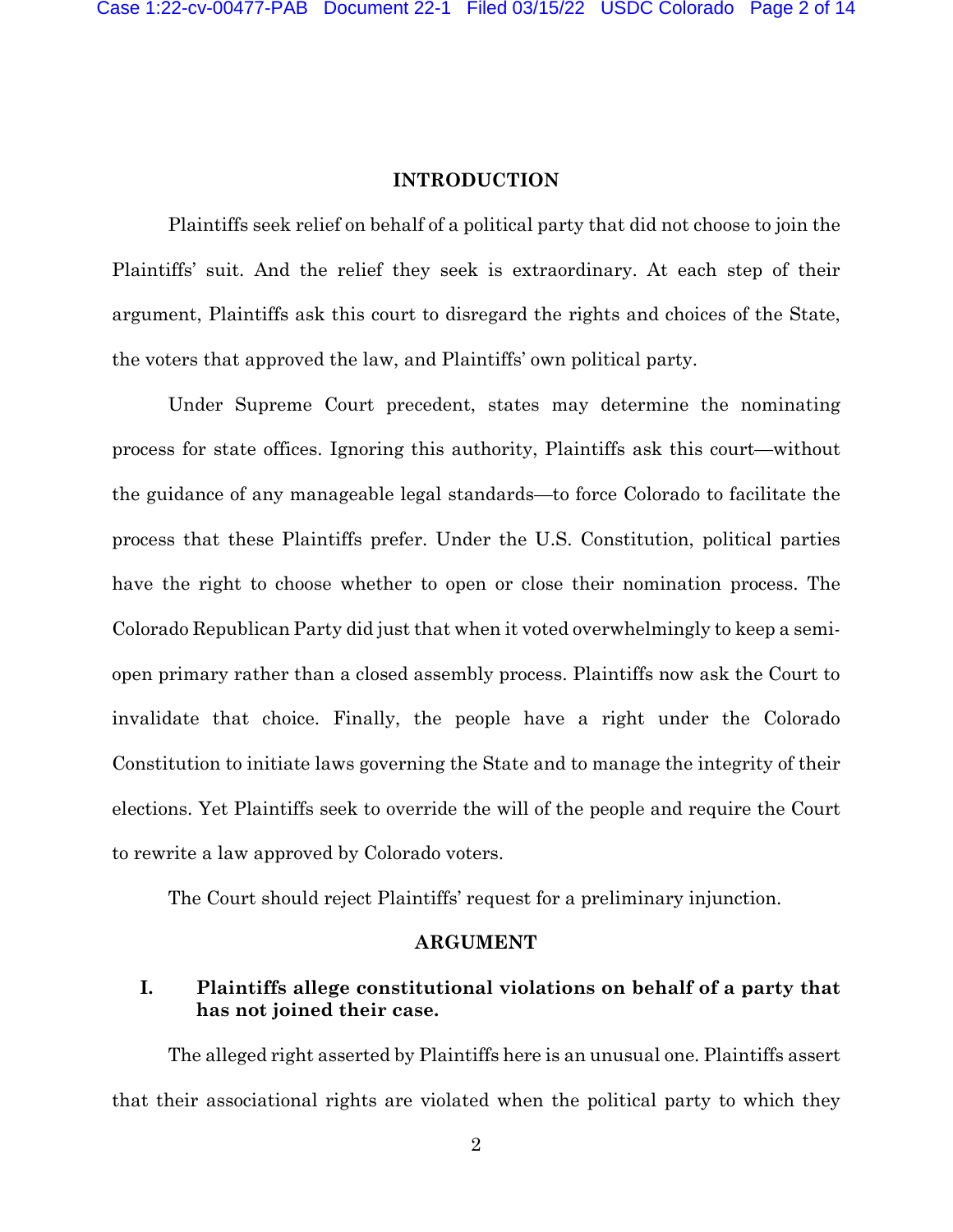### **INTRODUCTION**

Plaintiffs seek relief on behalf of a political party that did not choose to join the Plaintiffs' suit. And the relief they seek is extraordinary. At each step of their argument, Plaintiffs ask this court to disregard the rights and choices of the State, the voters that approved the law, and Plaintiffs' own political party.

Under Supreme Court precedent, states may determine the nominating process for state offices. Ignoring this authority, Plaintiffs ask this court—without the guidance of any manageable legal standards—to force Colorado to facilitate the process that these Plaintiffs prefer. Under the U.S. Constitution, political parties have the right to choose whether to open or close their nomination process. The Colorado Republican Party did just that when it voted overwhelmingly to keep a semiopen primary rather than a closed assembly process. Plaintiffs now ask the Court to invalidate that choice. Finally, the people have a right under the Colorado Constitution to initiate laws governing the State and to manage the integrity of their elections. Yet Plaintiffs seek to override the will of the people and require the Court to rewrite a law approved by Colorado voters.

The Court should reject Plaintiffs' request for a preliminary injunction.

### **ARGUMENT**

## **I. Plaintiffs allege constitutional violations on behalf of a party that has not joined their case.**

The alleged right asserted by Plaintiffs here is an unusual one. Plaintiffs assert that their associational rights are violated when the political party to which they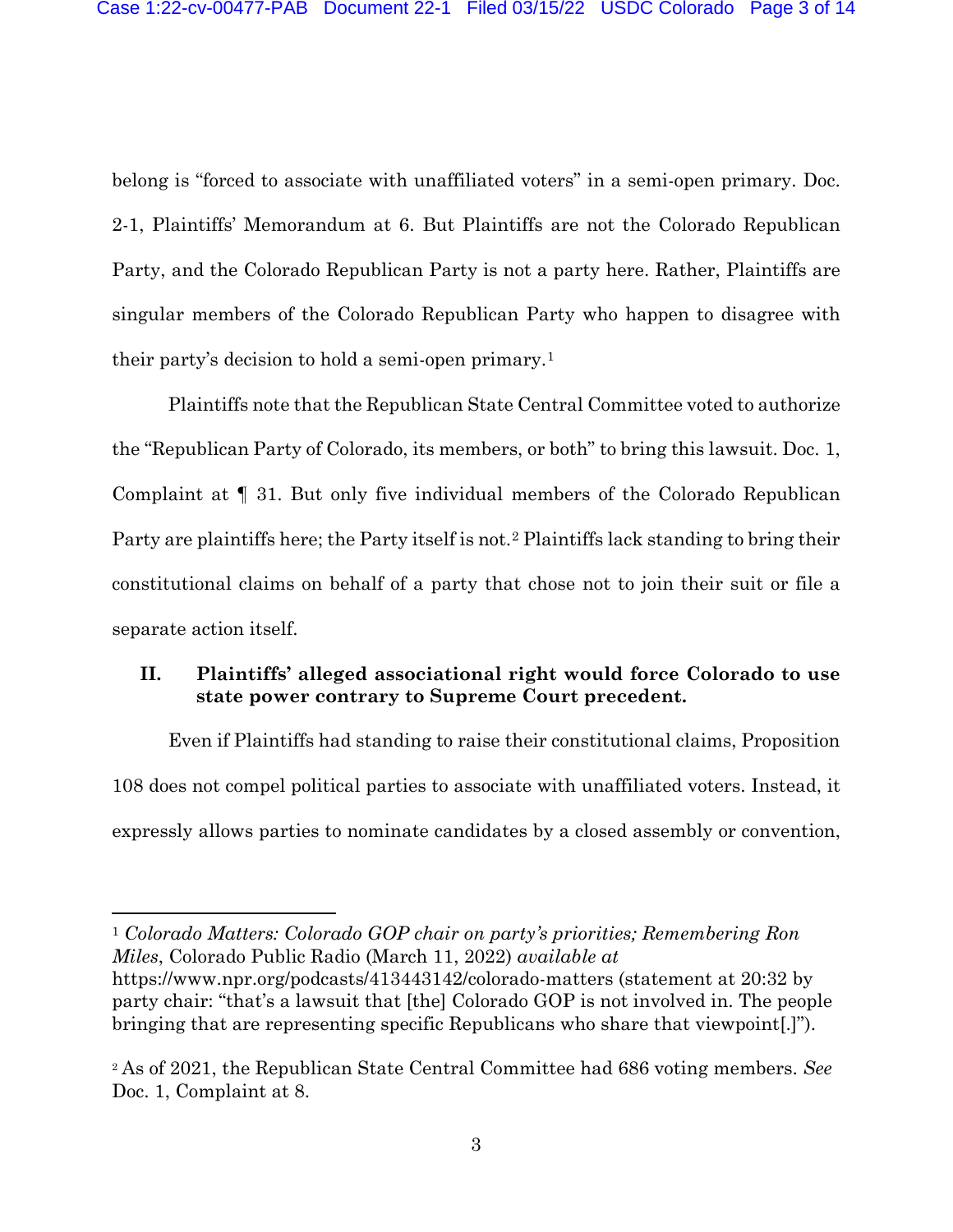belong is "forced to associate with unaffiliated voters" in a semi-open primary. Doc. 2-1, Plaintiffs' Memorandum at 6. But Plaintiffs are not the Colorado Republican Party, and the Colorado Republican Party is not a party here. Rather, Plaintiffs are singular members of the Colorado Republican Party who happen to disagree with their party's decision to hold a semi-open primary.[1](#page-2-0)

Plaintiffs note that the Republican State Central Committee voted to authorize the "Republican Party of Colorado, its members, or both" to bring this lawsuit. Doc. 1, Complaint at ¶ 31. But only five individual members of the Colorado Republican Party are plaintiffs here; the Party itself is not.[2](#page-2-1) Plaintiffs lack standing to bring their constitutional claims on behalf of a party that chose not to join their suit or file a separate action itself.

## **II. Plaintiffs' alleged associational right would force Colorado to use state power contrary to Supreme Court precedent.**

Even if Plaintiffs had standing to raise their constitutional claims, Proposition 108 does not compel political parties to associate with unaffiliated voters. Instead, it expressly allows parties to nominate candidates by a closed assembly or convention,

<span id="page-2-0"></span><sup>1</sup> *Colorado Matters: Colorado GOP chair on party's priorities; Remembering Ron Miles*, Colorado Public Radio (March 11, 2022) *available at*  https://www.npr.org/podcasts/413443142/colorado-matters (statement at 20:32 by party chair: "that's a lawsuit that [the] Colorado GOP is not involved in. The people bringing that are representing specific Republicans who share that viewpoint[.]").

<span id="page-2-1"></span><sup>2</sup> As of 2021, the Republican State Central Committee had 686 voting members. *See*  Doc. 1, Complaint at 8.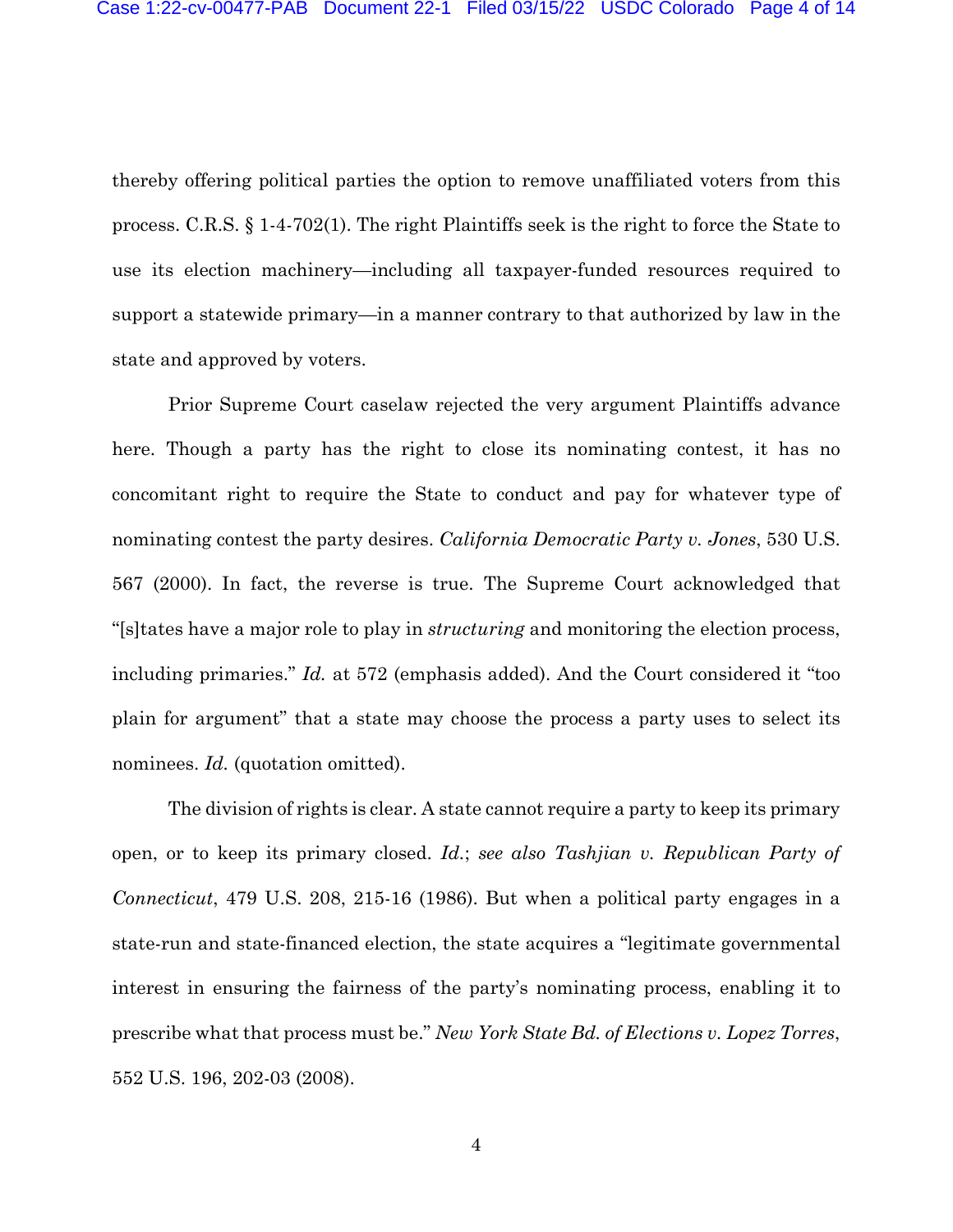thereby offering political parties the option to remove unaffiliated voters from this process. C.R.S. § 1-4-702(1). The right Plaintiffs seek is the right to force the State to use its election machinery—including all taxpayer-funded resources required to support a statewide primary—in a manner contrary to that authorized by law in the state and approved by voters.

Prior Supreme Court caselaw rejected the very argument Plaintiffs advance here. Though a party has the right to close its nominating contest, it has no concomitant right to require the State to conduct and pay for whatever type of nominating contest the party desires. *California Democratic Party v. Jones*, 530 U.S. 567 (2000). In fact, the reverse is true. The Supreme Court acknowledged that "[s]tates have a major role to play in *structuring* and monitoring the election process, including primaries." *Id.* at 572 (emphasis added). And the Court considered it "too plain for argument" that a state may choose the process a party uses to select its nominees. *Id.* (quotation omitted).

The division of rights is clear. A state cannot require a party to keep its primary open, or to keep its primary closed. *Id.*; *see also Tashjian v. Republican Party of Connecticut*, 479 U.S. 208, 215-16 (1986). But when a political party engages in a state-run and state-financed election, the state acquires a "legitimate governmental interest in ensuring the fairness of the party's nominating process, enabling it to prescribe what that process must be." *New York State Bd. of Elections v. Lopez Torres*, 552 U.S. 196, 202-03 (2008).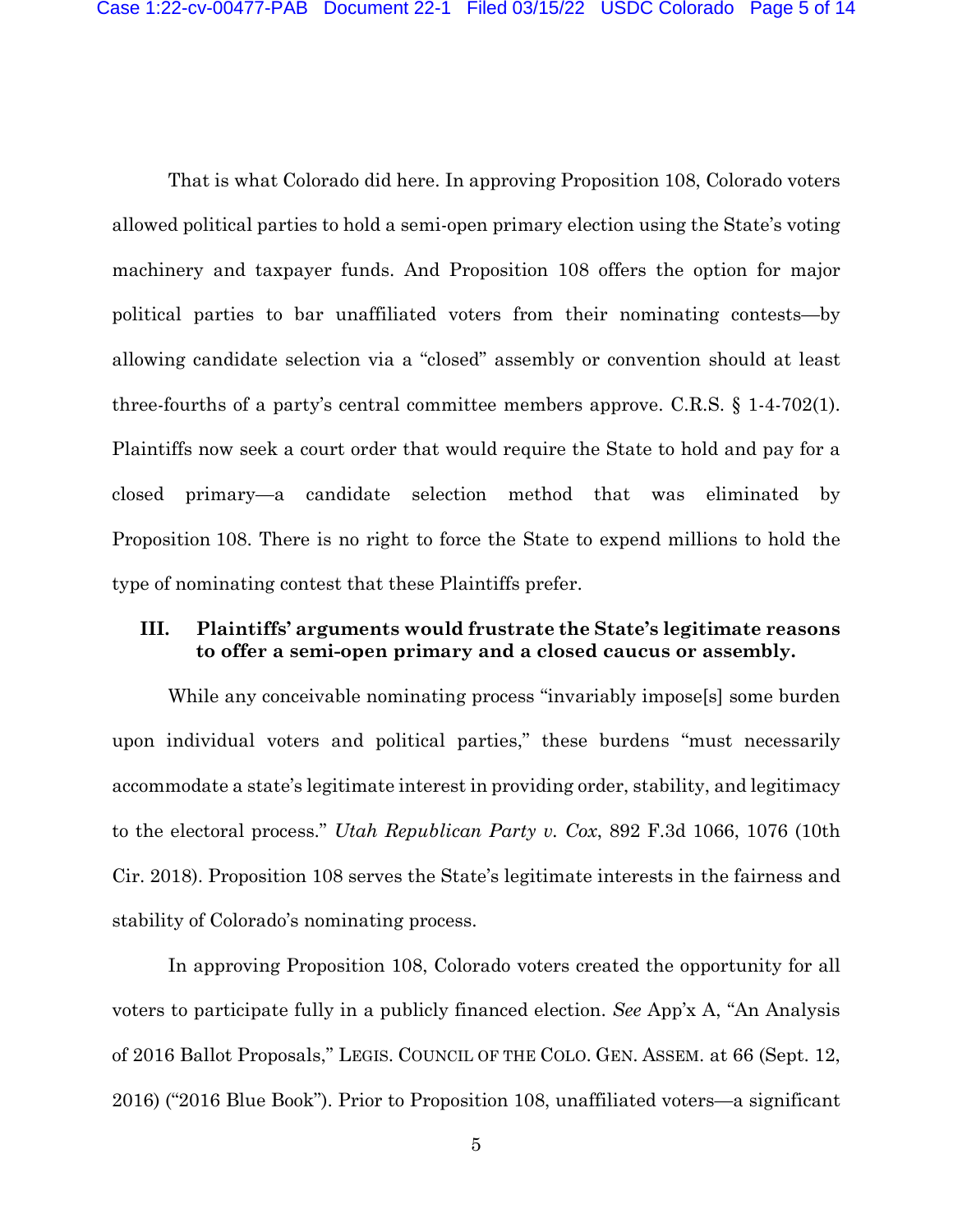That is what Colorado did here. In approving Proposition 108, Colorado voters allowed political parties to hold a semi-open primary election using the State's voting machinery and taxpayer funds. And Proposition 108 offers the option for major political parties to bar unaffiliated voters from their nominating contests—by allowing candidate selection via a "closed" assembly or convention should at least three-fourths of a party's central committee members approve. C.R.S. § 1-4-702(1). Plaintiffs now seek a court order that would require the State to hold and pay for a closed primary—a candidate selection method that was eliminated by Proposition 108. There is no right to force the State to expend millions to hold the type of nominating contest that these Plaintiffs prefer.

### **III. Plaintiffs' arguments would frustrate the State's legitimate reasons to offer a semi-open primary and a closed caucus or assembly.**

While any conceivable nominating process "invariably impose<sup>[9]</sup> some burden upon individual voters and political parties," these burdens "must necessarily accommodate a state's legitimate interest in providing order, stability, and legitimacy to the electoral process." *Utah Republican Party v. Cox*, 892 F.3d 1066, 1076 (10th Cir. 2018). Proposition 108 serves the State's legitimate interests in the fairness and stability of Colorado's nominating process.

In approving Proposition 108, Colorado voters created the opportunity for all voters to participate fully in a publicly financed election. *See* App'x A, "An Analysis of 2016 Ballot Proposals," LEGIS. COUNCIL OF THE COLO. GEN. ASSEM. at 66 (Sept. 12, 2016) ("2016 Blue Book"). Prior to Proposition 108, unaffiliated voters—a significant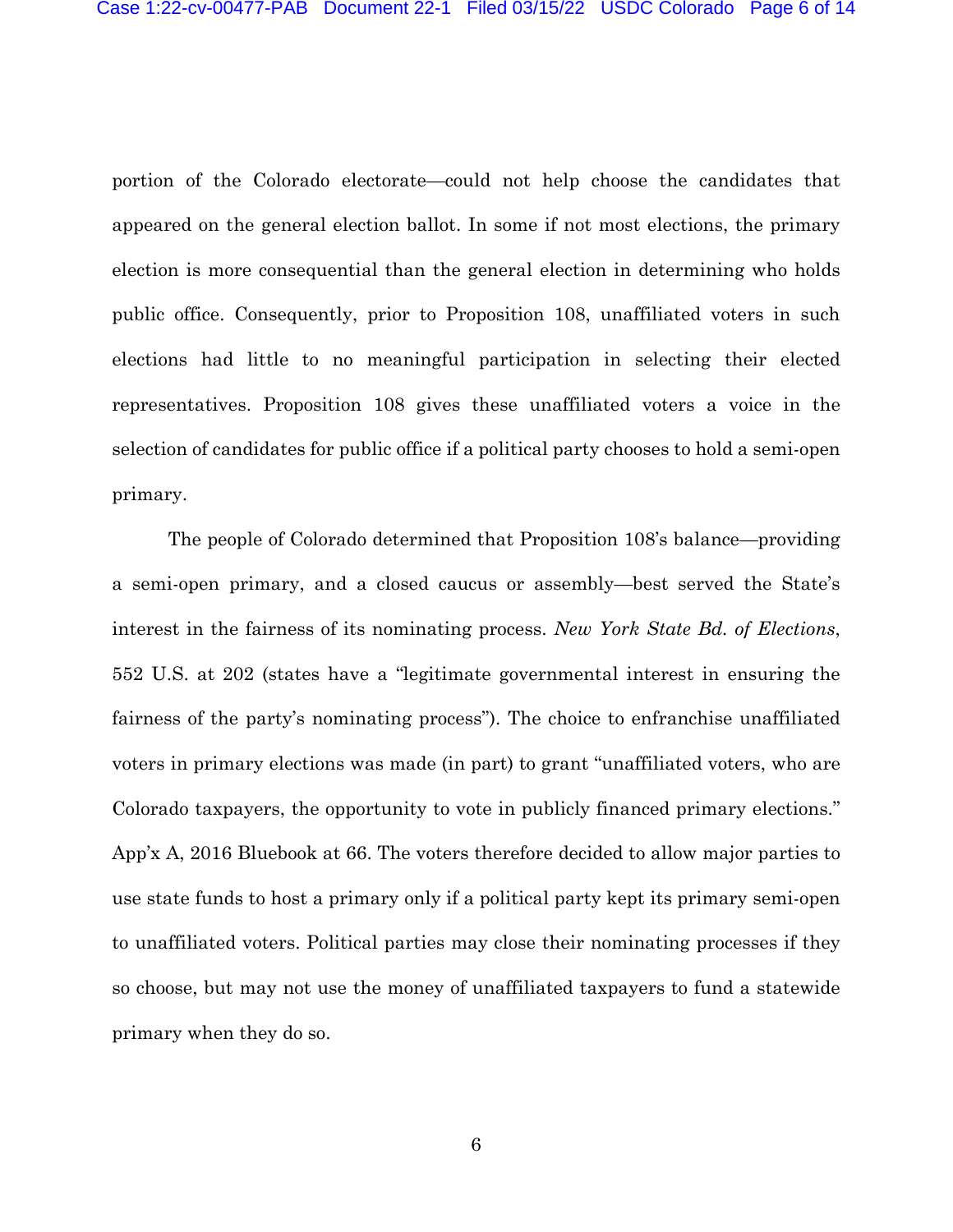portion of the Colorado electorate—could not help choose the candidates that appeared on the general election ballot. In some if not most elections, the primary election is more consequential than the general election in determining who holds public office. Consequently, prior to Proposition 108, unaffiliated voters in such elections had little to no meaningful participation in selecting their elected representatives. Proposition 108 gives these unaffiliated voters a voice in the selection of candidates for public office if a political party chooses to hold a semi-open primary.

The people of Colorado determined that Proposition 108's balance—providing a semi-open primary, and a closed caucus or assembly—best served the State's interest in the fairness of its nominating process. *New York State Bd. of Elections*, 552 U.S. at 202 (states have a "legitimate governmental interest in ensuring the fairness of the party's nominating process"). The choice to enfranchise unaffiliated voters in primary elections was made (in part) to grant "unaffiliated voters, who are Colorado taxpayers, the opportunity to vote in publicly financed primary elections." App'x A, 2016 Bluebook at 66. The voters therefore decided to allow major parties to use state funds to host a primary only if a political party kept its primary semi-open to unaffiliated voters. Political parties may close their nominating processes if they so choose, but may not use the money of unaffiliated taxpayers to fund a statewide primary when they do so.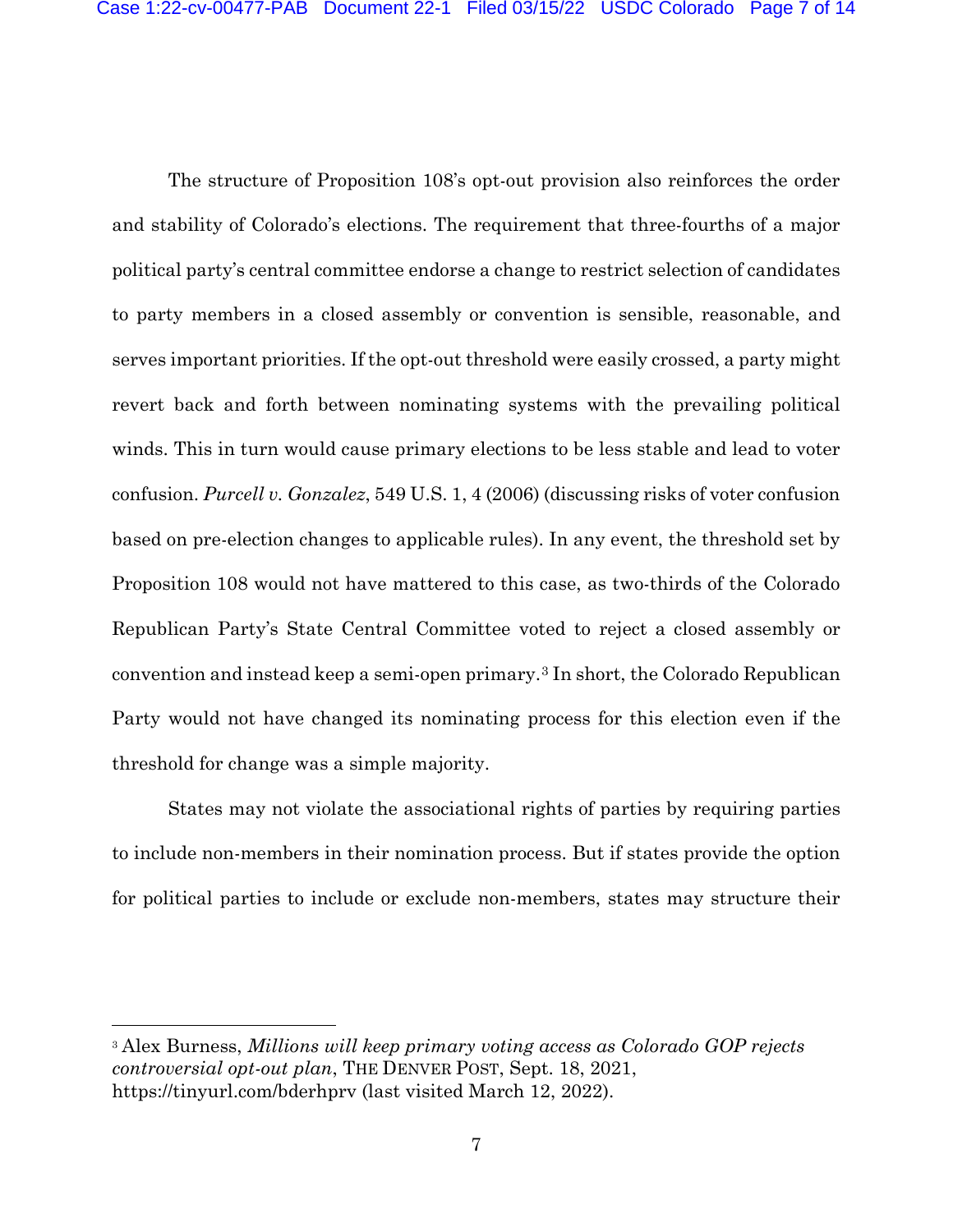The structure of Proposition 108's opt-out provision also reinforces the order and stability of Colorado's elections. The requirement that three-fourths of a major political party's central committee endorse a change to restrict selection of candidates to party members in a closed assembly or convention is sensible, reasonable, and serves important priorities. If the opt-out threshold were easily crossed, a party might revert back and forth between nominating systems with the prevailing political winds. This in turn would cause primary elections to be less stable and lead to voter confusion. *Purcell v. Gonzalez*, 549 U.S. 1, 4 (2006) (discussing risks of voter confusion based on pre-election changes to applicable rules). In any event, the threshold set by Proposition 108 would not have mattered to this case, as two-thirds of the Colorado Republican Party's State Central Committee voted to reject a closed assembly or convention and instead keep a semi-open primary.[3](#page-6-0) In short, the Colorado Republican Party would not have changed its nominating process for this election even if the threshold for change was a simple majority.

States may not violate the associational rights of parties by requiring parties to include non-members in their nomination process. But if states provide the option for political parties to include or exclude non-members, states may structure their

<span id="page-6-0"></span><sup>3</sup> Alex Burness, *Millions will keep primary voting access as Colorado GOP rejects controversial opt-out plan*, THE DENVER POST, Sept. 18, 2021, https://tinyurl.com/bderhprv (last visited March 12, 2022).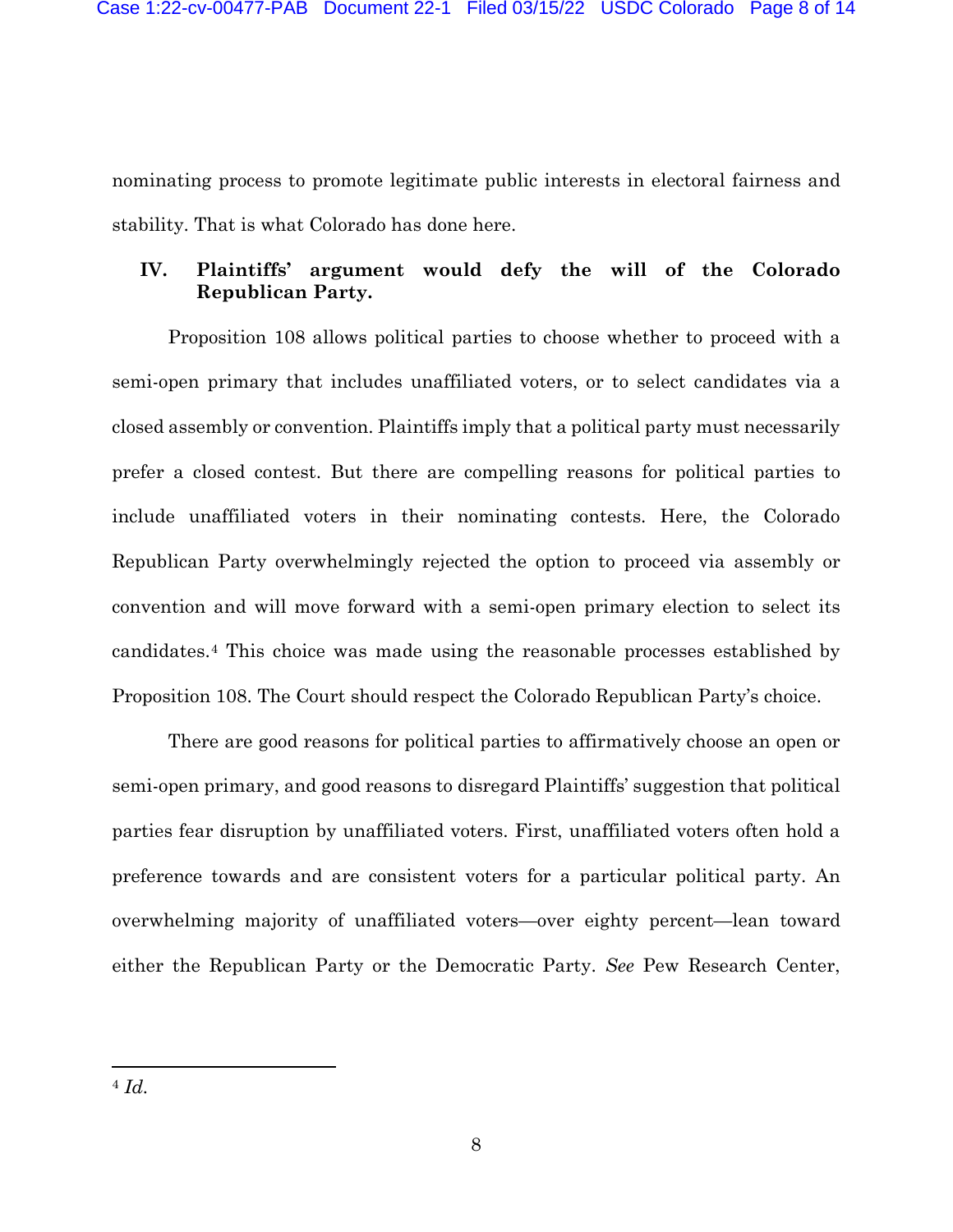nominating process to promote legitimate public interests in electoral fairness and stability. That is what Colorado has done here.

## **IV. Plaintiffs' argument would defy the will of the Colorado Republican Party.**

Proposition 108 allows political parties to choose whether to proceed with a semi-open primary that includes unaffiliated voters, or to select candidates via a closed assembly or convention. Plaintiffs imply that a political party must necessarily prefer a closed contest. But there are compelling reasons for political parties to include unaffiliated voters in their nominating contests. Here, the Colorado Republican Party overwhelmingly rejected the option to proceed via assembly or convention and will move forward with a semi-open primary election to select its candidates.[4](#page-7-0) This choice was made using the reasonable processes established by Proposition 108. The Court should respect the Colorado Republican Party's choice.

<span id="page-7-0"></span>There are good reasons for political parties to affirmatively choose an open or semi-open primary, and good reasons to disregard Plaintiffs' suggestion that political parties fear disruption by unaffiliated voters. First, unaffiliated voters often hold a preference towards and are consistent voters for a particular political party. An overwhelming majority of unaffiliated voters—over eighty percent—lean toward either the Republican Party or the Democratic Party. *See* Pew Research Center,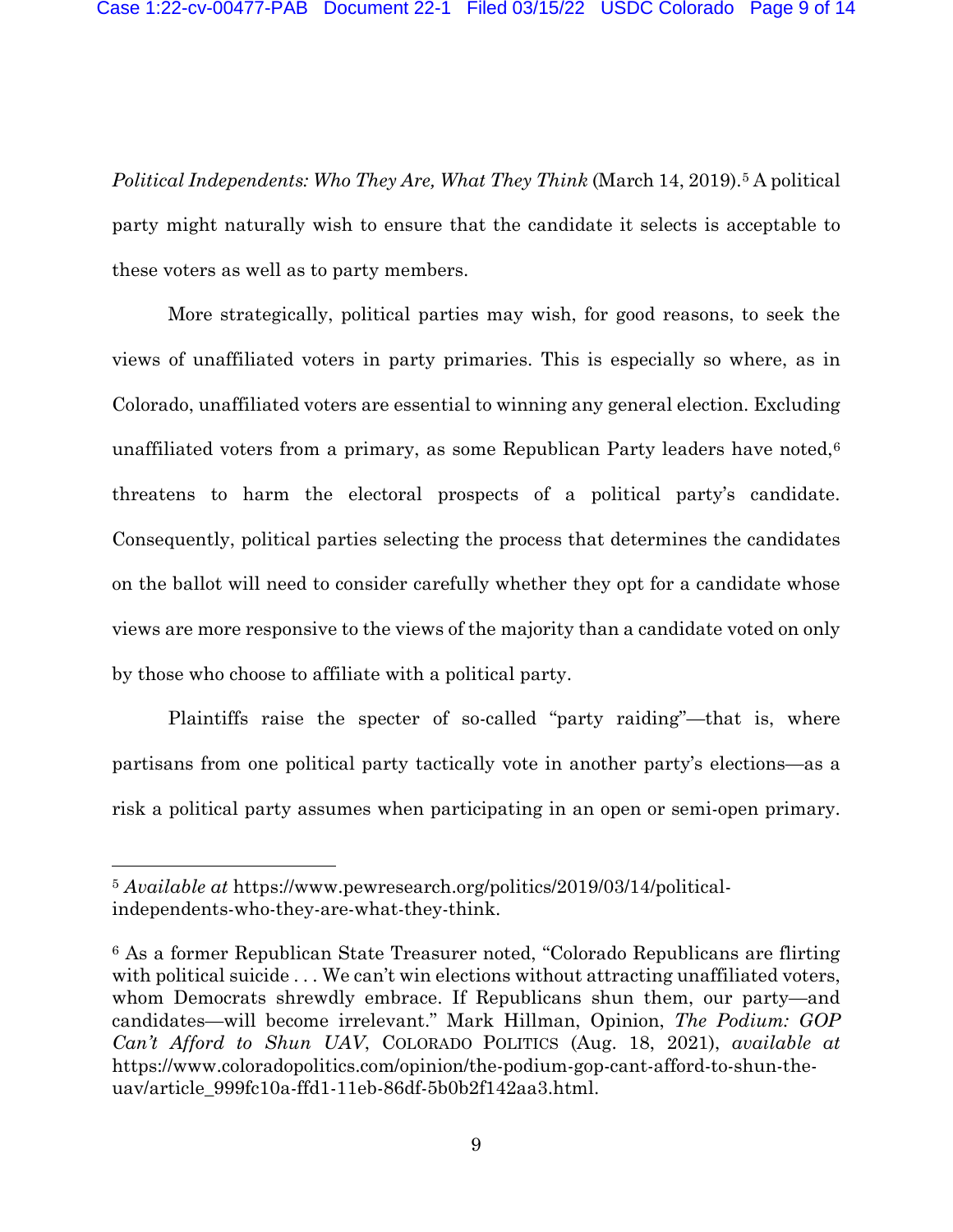*Political Independents: Who They Are, What They Think* (March 14, 2019).<sup>[5](#page-8-0)</sup> A political party might naturally wish to ensure that the candidate it selects is acceptable to these voters as well as to party members.

More strategically, political parties may wish, for good reasons, to seek the views of unaffiliated voters in party primaries. This is especially so where, as in Colorado, unaffiliated voters are essential to winning any general election. Excluding unaffiliated voters from a primary, as some Republican Party leaders have noted, $6$ threatens to harm the electoral prospects of a political party's candidate. Consequently, political parties selecting the process that determines the candidates on the ballot will need to consider carefully whether they opt for a candidate whose views are more responsive to the views of the majority than a candidate voted on only by those who choose to affiliate with a political party.

Plaintiffs raise the specter of so-called "party raiding"—that is, where partisans from one political party tactically vote in another party's elections—as a risk a political party assumes when participating in an open or semi-open primary.

<span id="page-8-0"></span><sup>5</sup> *Available at* https://www.pewresearch.org/politics/2019/03/14/politicalindependents-who-they-are-what-they-think.

<span id="page-8-1"></span><sup>6</sup> As a former Republican State Treasurer noted, "Colorado Republicans are flirting with political suicide ... We can't win elections without attracting unaffiliated voters, whom Democrats shrewdly embrace. If Republicans shun them, our party—and candidates—will become irrelevant." Mark Hillman, Opinion, *The Podium: GOP Can't Afford to Shun UAV*, COLORADO POLITICS (Aug. 18, 2021), *available at*  https://www.coloradopolitics.com/opinion/the-podium-gop-cant-afford-to-shun-theuav/article\_999fc10a-ffd1-11eb-86df-5b0b2f142aa3.html.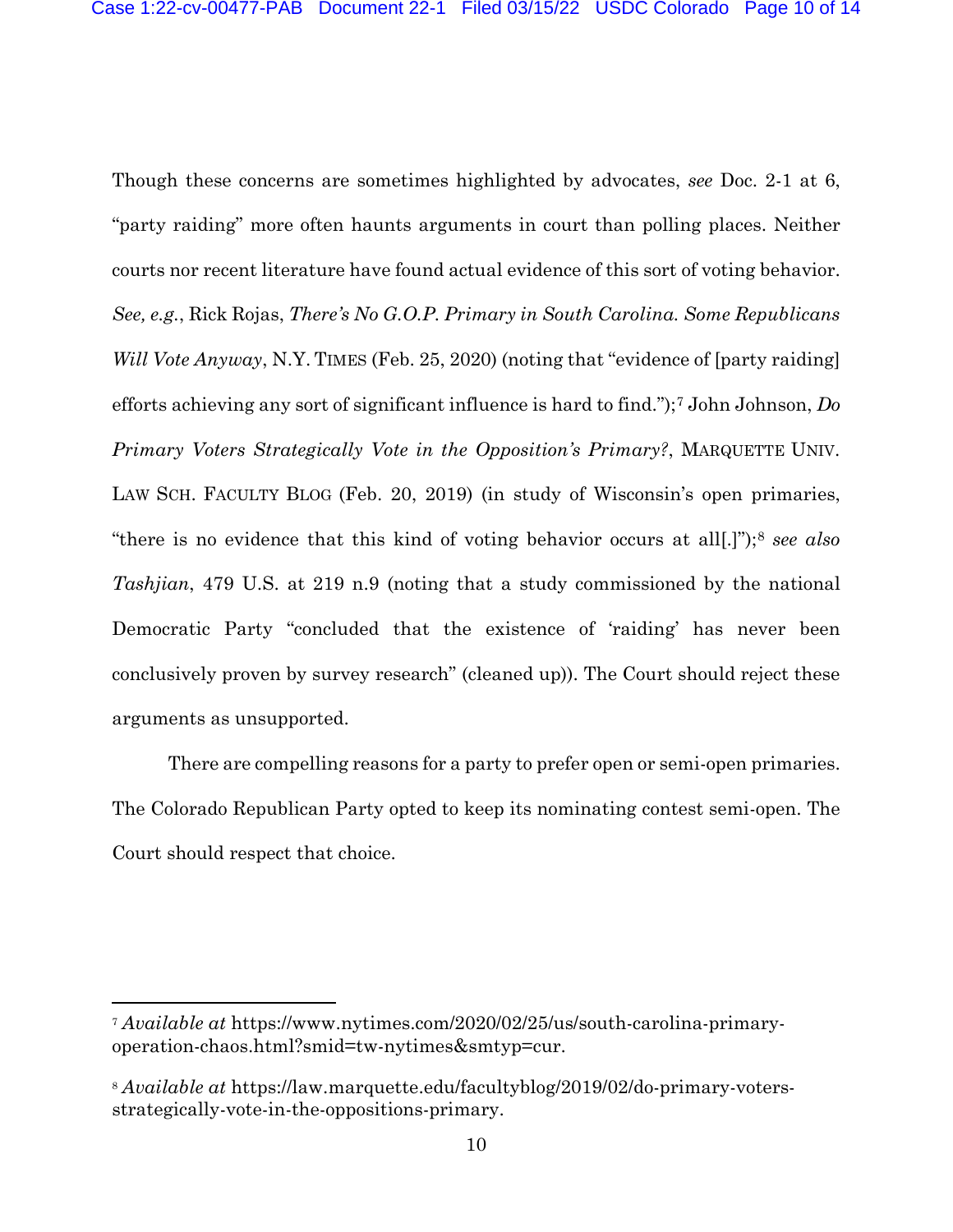Though these concerns are sometimes highlighted by advocates, *see* Doc. 2-1 at 6, "party raiding" more often haunts arguments in court than polling places. Neither courts nor recent literature have found actual evidence of this sort of voting behavior. *See, e.g.*, Rick Rojas, *There's No G.O.P. Primary in South Carolina. Some Republicans Will Vote Anyway*, N.Y. TIMES (Feb. 25, 2020) (noting that "evidence of [party raiding] efforts achieving any sort of significant influence is hard to find.");[7](#page-9-0) John Johnson, *Do Primary Voters Strategically Vote in the Opposition's Primary?*, MARQUETTE UNIV. LAW SCH. FACULTY BLOG (Feb. 20, 2019) (in study of Wisconsin's open primaries, "there is no evidence that this kind of voting behavior occurs at all[.]");[8](#page-9-1) *see also Tashjian*, 479 U.S. at 219 n.9 (noting that a study commissioned by the national Democratic Party "concluded that the existence of 'raiding' has never been conclusively proven by survey research" (cleaned up)). The Court should reject these arguments as unsupported.

There are compelling reasons for a party to prefer open or semi-open primaries. The Colorado Republican Party opted to keep its nominating contest semi-open. The Court should respect that choice.

<span id="page-9-0"></span><sup>7</sup> *Available at* https://www.nytimes.com/2020/02/25/us/south-carolina-primaryoperation-chaos.html?smid=tw-nytimes&smtyp=cur.

<span id="page-9-1"></span><sup>8</sup> *Available at* https://law.marquette.edu/facultyblog/2019/02/do-primary-votersstrategically-vote-in-the-oppositions-primary.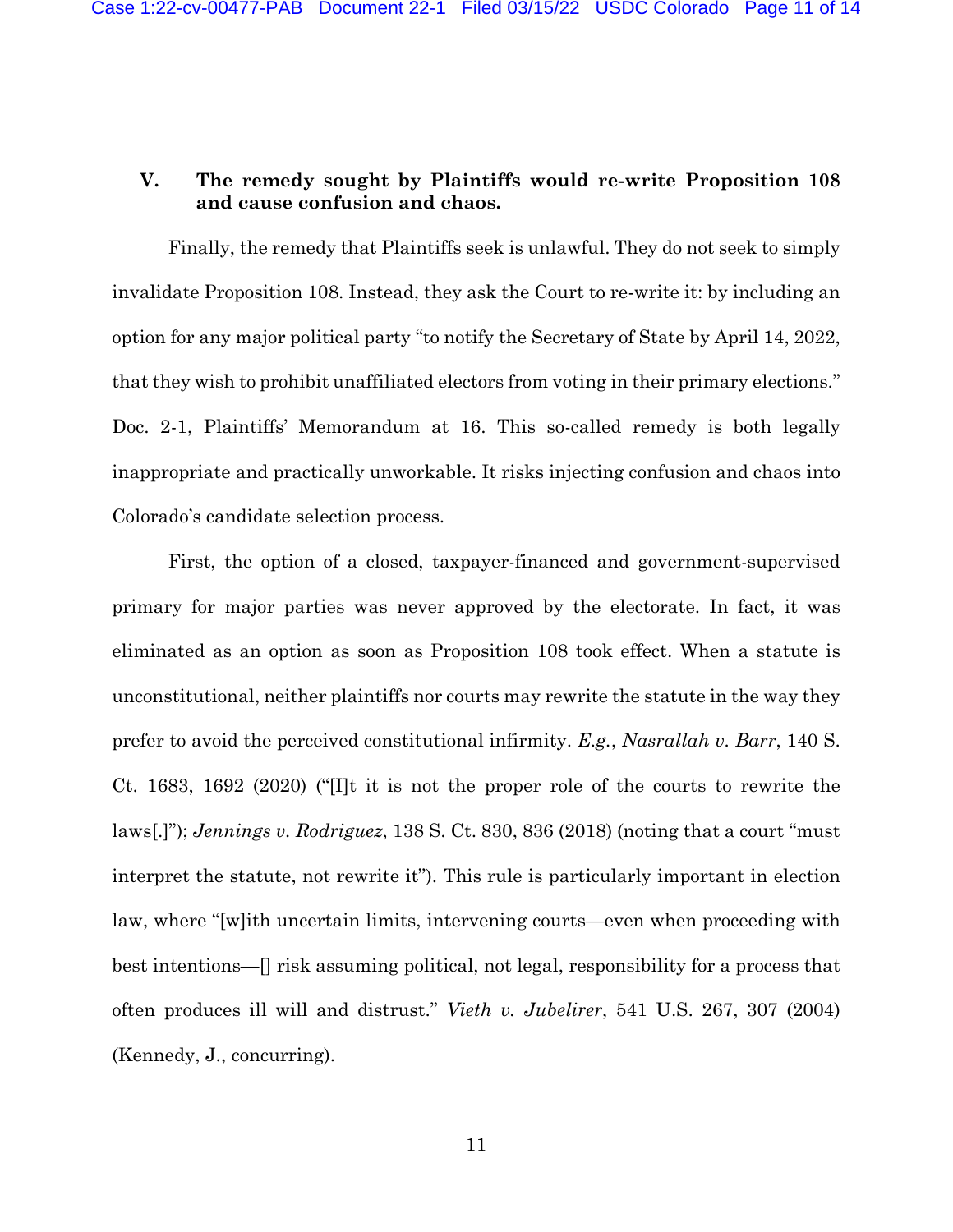## **V. The remedy sought by Plaintiffs would re-write Proposition 108 and cause confusion and chaos.**

Finally, the remedy that Plaintiffs seek is unlawful. They do not seek to simply invalidate Proposition 108. Instead, they ask the Court to re-write it: by including an option for any major political party "to notify the Secretary of State by April 14, 2022, that they wish to prohibit unaffiliated electors from voting in their primary elections." Doc. 2-1, Plaintiffs' Memorandum at 16. This so-called remedy is both legally inappropriate and practically unworkable. It risks injecting confusion and chaos into Colorado's candidate selection process.

First, the option of a closed, taxpayer-financed and government-supervised primary for major parties was never approved by the electorate. In fact, it was eliminated as an option as soon as Proposition 108 took effect. When a statute is unconstitutional, neither plaintiffs nor courts may rewrite the statute in the way they prefer to avoid the perceived constitutional infirmity. *E.g.*, *Nasrallah v. Barr*, 140 S. Ct. 1683, 1692 (2020) ("[I]t it is not the proper role of the courts to rewrite the laws[.]"); *Jennings v. Rodriguez*, 138 S. Ct. 830, 836 (2018) (noting that a court "must interpret the statute, not rewrite it"). This rule is particularly important in election law, where "[w]ith uncertain limits, intervening courts—even when proceeding with best intentions—[] risk assuming political, not legal, responsibility for a process that often produces ill will and distrust." *Vieth v. Jubelirer*, 541 U.S. 267, 307 (2004) (Kennedy, J., concurring).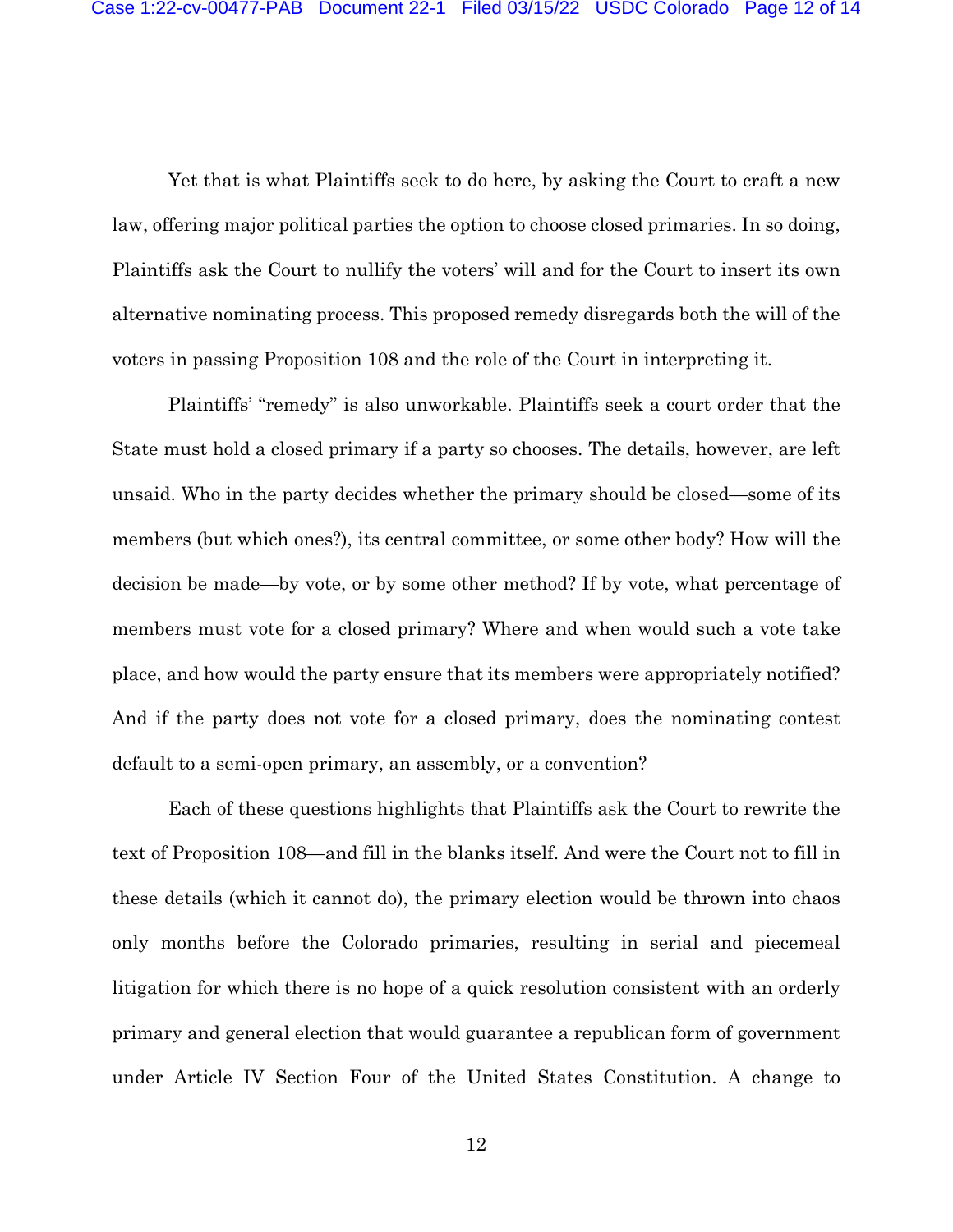Yet that is what Plaintiffs seek to do here, by asking the Court to craft a new law, offering major political parties the option to choose closed primaries. In so doing, Plaintiffs ask the Court to nullify the voters' will and for the Court to insert its own alternative nominating process. This proposed remedy disregards both the will of the voters in passing Proposition 108 and the role of the Court in interpreting it.

Plaintiffs' "remedy" is also unworkable. Plaintiffs seek a court order that the State must hold a closed primary if a party so chooses. The details, however, are left unsaid. Who in the party decides whether the primary should be closed—some of its members (but which ones?), its central committee, or some other body? How will the decision be made—by vote, or by some other method? If by vote, what percentage of members must vote for a closed primary? Where and when would such a vote take place, and how would the party ensure that its members were appropriately notified? And if the party does not vote for a closed primary, does the nominating contest default to a semi-open primary, an assembly, or a convention?

Each of these questions highlights that Plaintiffs ask the Court to rewrite the text of Proposition 108—and fill in the blanks itself. And were the Court not to fill in these details (which it cannot do), the primary election would be thrown into chaos only months before the Colorado primaries, resulting in serial and piecemeal litigation for which there is no hope of a quick resolution consistent with an orderly primary and general election that would guarantee a republican form of government under Article IV Section Four of the United States Constitution. A change to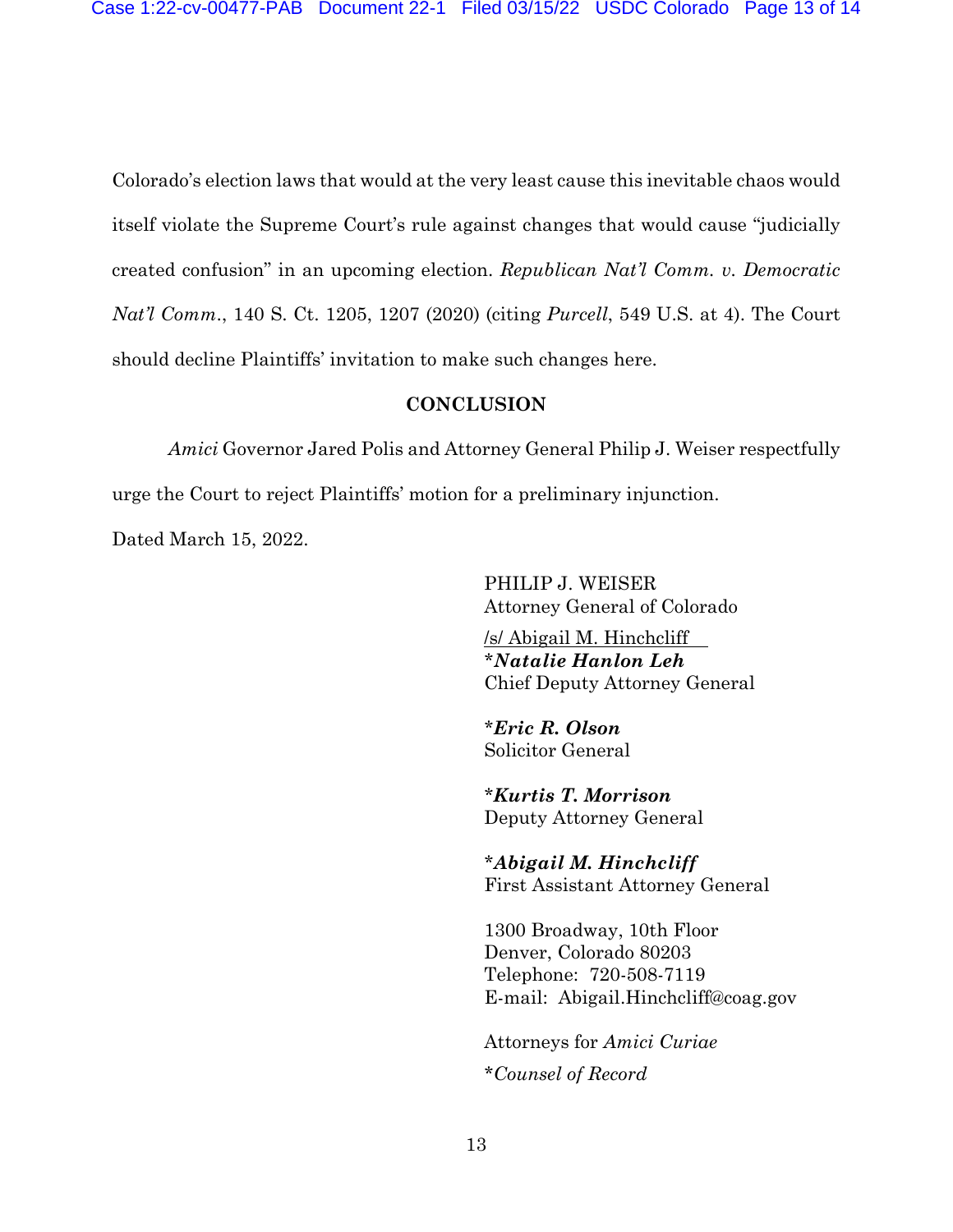Colorado's election laws that would at the very least cause this inevitable chaos would itself violate the Supreme Court's rule against changes that would cause "judicially created confusion" in an upcoming election. *Republican Nat'l Comm. v. Democratic Nat'l Comm*., 140 S. Ct. 1205, 1207 (2020) (citing *Purcell*, 549 U.S. at 4). The Court should decline Plaintiffs' invitation to make such changes here.

### **CONCLUSION**

*Amici* Governor Jared Polis and Attorney General Philip J. Weiser respectfully urge the Court to reject Plaintiffs' motion for a preliminary injunction.

Dated March 15, 2022.

PHILIP J. WEISER Attorney General of Colorado

/s/ Abigail M. Hinchcliff \**Natalie Hanlon Leh* Chief Deputy Attorney General

\**Eric R. Olson* Solicitor General

\**Kurtis T. Morrison* Deputy Attorney General

\**Abigail M. Hinchcliff* First Assistant Attorney General

1300 Broadway, 10th Floor Denver, Colorado 80203 Telephone: 720-508-7119 E-mail: Abigail.Hinchcliff@coag.gov

Attorneys for *Amici Curiae* \**Counsel of Record*